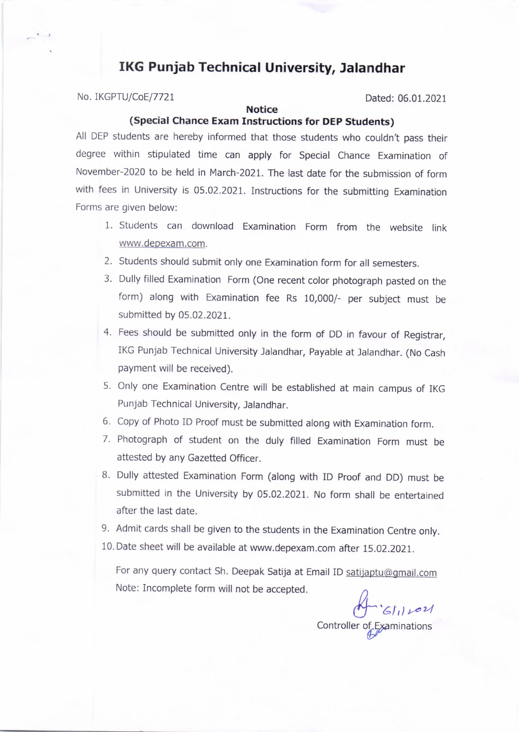# IKG Punjab Technical University, Jalandhar

No. IKGPTU/CoE/7721 Dated: 06.01.2021

## **Notice**

## (Special Chance Exam Instructions for DEp Students)

All DEP students are hereby informed that those students who couldn't pass their degree within stipulated time can apply for Special Chance Examination of November-2O20 to be held in March-2021. The last date for the submission of form with fees in University is 05.02.2021. Instructions for the submitting Examination Forms are given below:

- 1. Students can download Examination Form from the website link www.depexam.com.
- 2. Students should submit only one Examination form for all semesters.
- 3. Dully filled Examination Form (One recent color photograph pasted on the form) along with Examination fee Rs 10,000/- per subject must be submitted by 05.02.2021.
- 4. Fees should be submitted only in the form of DD in favour of Registrar, IKG Punjab Technical University Jalandhar, payable at Jalandhar. (No Cash payment will be received).
- 5. Only one Examination Centre will be established at main campus of IKG Punjab Technical University, Jalandhar.
- 6, Copy of Photo ID Proof must be submitted along with Examination form.
- 7. Photograph of student on the duly filled Examination Form must be attested by any Gazetted Officer.
- B. Dully attested Examination Form (along with ID proof and DD) must be submitted in the University by 05.02.2021. No form shall be entertained after the last date.
- 9. Admit cards shall be given to the students in the Examination Centre only.
- 10. Date sheet will be available at www.depexam.com after 15.OZ.2O2I.

For any query contact Sh. Deepak Satija at Email ID satijaptu@gmail.com Note: Incomplete form will not be accepted.

1021<br>Controller of Examinations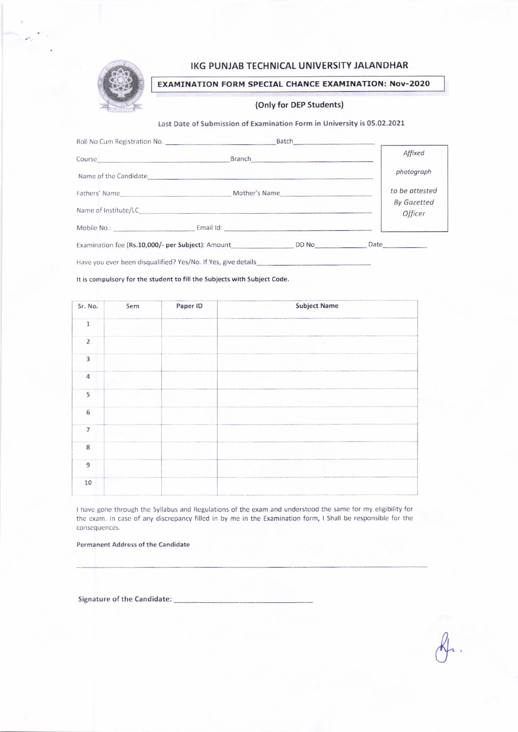

## IKG PUNJAB TECHNICAL UNIVERSITY JALANDHAR

EXAMINATION FORM SPECIAL CHANCE EXAMINATION: Nov-2020

#### (Only for DEP Students)

#### Last Date of Submission of Examination Form in University is 05.02.2021

| Roll No Cum Registration No.                      | Batch                                                                                                                                                                                                                                |                               |
|---------------------------------------------------|--------------------------------------------------------------------------------------------------------------------------------------------------------------------------------------------------------------------------------------|-------------------------------|
| Course                                            | Branch <b>Executive Contract of the Contract of the Contract of the Contract of the Contract of the Contract of the Contract of the Contract of the Contract of the Contract of the Contract of the Contract of the Contract of </b> | Affixed                       |
|                                                   | Name of the Candidate <b>Example 2018</b>                                                                                                                                                                                            | photograph                    |
|                                                   | Fathers' Name Mother's Name Mother's Name                                                                                                                                                                                            | to be attested                |
|                                                   |                                                                                                                                                                                                                                      | <b>By Gazetted</b><br>Officer |
|                                                   | Email Id: <b>Email Id:</b>                                                                                                                                                                                                           |                               |
| Examination fee (Rs.10,000/- per Subject): Amount |                                                                                                                                                                                                                                      | Date<br>DD No                 |

Have you ever been disqualified? Yes/No. If Yes, give details

It is compulsory for the student to fill the Subjects with Subject Code.

| Sr. No.                 | Sem | Paper ID | <b>Subject Name</b> |
|-------------------------|-----|----------|---------------------|
| $\mathbf 1$             |     |          |                     |
| $\overline{c}$          |     |          |                     |
| $\overline{\mathbf{3}}$ |     |          |                     |
| $\overline{a}$          |     |          |                     |
| $\overline{5}$          |     |          |                     |
| 6                       |     |          |                     |
| $\overline{7}$          |     |          |                     |
| $\overline{8}$          |     |          |                     |
| $\overline{9}$          |     |          |                     |
| $10\,$                  |     |          |                     |

I have gone through the Syllabus and Regulations of the exam and understood the same for my eligibility for the exam. In case of any discrepancy filled in by me in the Examination form, I Shall be responsible for the consequences.

Permanent Address of the Candidate

Signature of the Candidate: